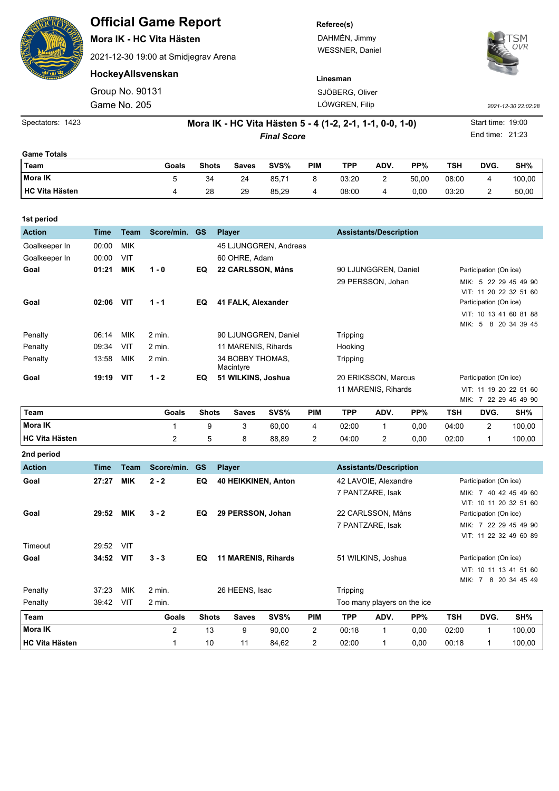| <b>ENSITY</b>         |                                                          |                 | <b>Official Game Report</b><br>Mora IK - HC Vita Hästen<br>2021-12-30 19:00 at Smidjegrav Arena |              |               |               |                       |                 | Referee(s)<br>DAHMÉN, Jimmy<br><b>WESSNER, Daniel</b> |                               |       |            |                        |        |  |  |
|-----------------------|----------------------------------------------------------|-----------------|-------------------------------------------------------------------------------------------------|--------------|---------------|---------------|-----------------------|-----------------|-------------------------------------------------------|-------------------------------|-------|------------|------------------------|--------|--|--|
|                       |                                                          |                 | HockeyAllsvenskan                                                                               |              |               |               |                       |                 | Linesman                                              |                               |       |            |                        |        |  |  |
|                       |                                                          | Group No. 90131 |                                                                                                 |              |               |               |                       | SJÖBERG, Oliver |                                                       |                               |       |            |                        |        |  |  |
|                       |                                                          | Game No. 205    |                                                                                                 |              |               |               |                       | LÖWGREN, Filip  |                                                       | 2021-12-30 22:02:28           |       |            |                        |        |  |  |
| Spectators: 1423      | Mora IK - HC Vita Hästen 5 - 4 (1-2, 2-1, 1-1, 0-0, 1-0) |                 |                                                                                                 |              |               |               |                       |                 |                                                       |                               |       |            | Start time: 19:00      |        |  |  |
|                       |                                                          |                 |                                                                                                 |              |               |               | <b>Final Score</b>    |                 |                                                       |                               |       |            | End time: 21:23        |        |  |  |
| <b>Game Totals</b>    |                                                          |                 |                                                                                                 |              |               |               |                       |                 |                                                       |                               |       |            |                        |        |  |  |
| <b>Team</b>           |                                                          |                 | Goals                                                                                           | <b>Shots</b> |               | <b>Saves</b>  | SVS%                  | <b>PIM</b>      | <b>TPP</b>                                            | ADV.                          | PP%   | <b>TSH</b> | DVG.                   | SH%    |  |  |
| Mora IK               |                                                          |                 | 5                                                                                               | 34           |               | 24            | 85,71                 | 8               | 03:20                                                 | 2                             | 50,00 | 08:00      | 4                      | 100,00 |  |  |
| <b>HC Vita Hästen</b> |                                                          |                 | 4                                                                                               | 28           |               | 29            | 85,29                 | 4               | 08:00                                                 | 4                             | 0,00  | 03:20      | 2                      | 50,00  |  |  |
| 1st period            |                                                          |                 |                                                                                                 |              |               |               |                       |                 |                                                       |                               |       |            |                        |        |  |  |
| <b>Action</b>         | <b>Time</b>                                              | <b>Team</b>     | Score/min.                                                                                      | <b>GS</b>    | <b>Player</b> |               |                       |                 |                                                       | <b>Assistants/Description</b> |       |            |                        |        |  |  |
| Goalkeeper In         | 00:00                                                    | <b>MIK</b>      |                                                                                                 |              |               |               | 45 LJUNGGREN, Andreas |                 |                                                       |                               |       |            |                        |        |  |  |
| Goalkeeper In         | 00:00                                                    | <b>VIT</b>      |                                                                                                 |              |               | 60 OHRE, Adam |                       |                 |                                                       |                               |       |            |                        |        |  |  |
| Goal                  | 01:21                                                    | <b>MIK</b>      | $1 - 0$                                                                                         | EQ.          |               |               | 22 CARLSSON, Måns     |                 | 90 LJUNGGREN, Daniel                                  |                               |       |            | Participation (On ice) |        |  |  |

|                        |       |              |              |       |     |       | 11 MARENIS, Rihards |      | VIT: 11 19 20 22 51 60<br>MIK: 7 22 29 45 49 90 |            |        |  |
|------------------------|-------|--------------|--------------|-------|-----|-------|---------------------|------|-------------------------------------------------|------------|--------|--|
| 'Team                  | Goals | <b>Shots</b> | <b>Saves</b> | SVS%  | PIM | TPP   | ADV.                | PP%  | TSH                                             | <b>DVG</b> | SH%    |  |
| Mora IK                |       |              | 3            | 60.00 | 4   | 02:00 |                     | 0.00 | 04:00                                           |            | 100,00 |  |
| <b>IHC Vita Hästen</b> |       |              | 8            | 88.89 |     | 04:00 | 2                   | 0.00 | 02:00                                           |            | 100,00 |  |

Tripping

**Goal 02:06 VIT 1 - 1 EQ 41 FALK, Alexander Participation (On ice)** Participation (On ice)

**Goal 19:19 VIT 1 - 2 EQ 51 WILKINS, Joshua** 20 ERIKSSON, Marcus Participation (On ice)

Penalty 06:14 MIK 2 min. 90 LJUNGGREN, Daniel Tripping Penalty 09:34 VIT 2 min. 11 MARENIS, Rihards Hooking

Macintyre

Penalty 13:58 MIK 2 min. 34 BOBBY THOMAS,

29 PERSSON, Johan MIK: 5 22 29 45 49 90

VIT: 11 20 22 32 51 60

VIT: 10 13 41 60 81 88 MIK: 5 8 20 34 39 45

| 2nd period            |             |             |                |              |                                                |       |                |            |                             |      |                        |                        |                                                 |  |
|-----------------------|-------------|-------------|----------------|--------------|------------------------------------------------|-------|----------------|------------|-----------------------------|------|------------------------|------------------------|-------------------------------------------------|--|
| <b>Action</b>         | <b>Time</b> | <b>Team</b> | Score/min.     | <b>GS</b>    | <b>Player</b><br><b>Assistants/Description</b> |       |                |            |                             |      |                        |                        |                                                 |  |
| Goal                  | 27:27       | <b>MIK</b>  | $2 - 2$        | EQ           | 40 HEIKKINEN, Anton                            |       |                |            | 42 LAVOIE, Alexandre        |      | Participation (On ice) |                        |                                                 |  |
|                       |             |             |                |              |                                                |       |                |            | 7 PANTZARE, Isak            |      |                        |                        | MIK: 7 40 42 45 49 60<br>VIT: 10 11 20 32 51 60 |  |
| Goal                  | 29:52       | <b>MIK</b>  | $3 - 2$        | EQ           | 29 PERSSON, Johan                              |       |                |            | 22 CARLSSON, Måns           |      |                        | Participation (On ice) |                                                 |  |
|                       |             |             |                |              |                                                |       |                |            | 7 PANTZARE, Isak            |      |                        |                        | MIK: 7 22 29 45 49 90<br>VIT: 11 22 32 49 60 89 |  |
| Timeout               | 29:52       | VIT         |                |              |                                                |       |                |            |                             |      |                        |                        |                                                 |  |
| Goal                  | 34:52       | <b>VIT</b>  | $3 - 3$        | EQ           | <b>11 MARENIS, Rihards</b>                     |       |                |            | 51 WILKINS, Joshua          |      | Participation (On ice) |                        |                                                 |  |
|                       |             |             |                |              |                                                |       |                |            |                             |      | VIT: 10 11 13 41 51 60 |                        |                                                 |  |
|                       |             |             |                |              |                                                |       |                |            |                             |      |                        |                        | MIK: 7 8 20 34 45 49                            |  |
| Penalty               | 37:23       | <b>MIK</b>  | 2 min.         |              | 26 HEENS, Isac                                 |       |                | Tripping   |                             |      |                        |                        |                                                 |  |
| Penalty               | 39:42       | VIT         | 2 min.         |              |                                                |       |                |            | Too many players on the ice |      |                        |                        |                                                 |  |
| Team                  |             |             | Goals          | <b>Shots</b> | <b>Saves</b>                                   | SVS%  | <b>PIM</b>     | <b>TPP</b> | ADV.                        | PP%  | <b>TSH</b>             | DVG.                   | SH%                                             |  |
| <b>Mora IK</b>        |             |             | $\overline{c}$ | 13           | 9                                              | 90,00 | $\overline{2}$ | 00:18      | 1                           | 0,00 | 02:00                  | 1                      | 100,00                                          |  |
| <b>HC Vita Hästen</b> |             |             |                | 10           | 11                                             | 84,62 | $\overline{c}$ | 02:00      | 1                           | 0,00 | 00:18                  | 1                      | 100,00                                          |  |